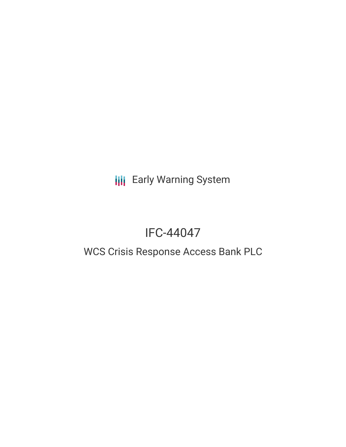**III** Early Warning System

# IFC-44047

## WCS Crisis Response Access Bank PLC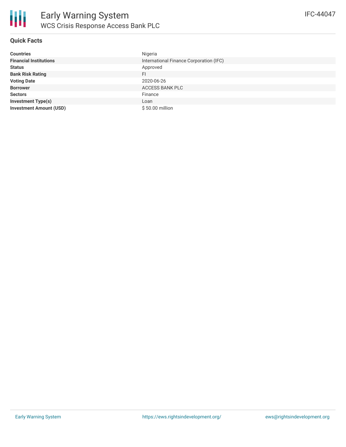

### **Quick Facts**

| <b>Countries</b>               | Nigeria                                 |
|--------------------------------|-----------------------------------------|
| <b>Financial Institutions</b>  | International Finance Corporation (IFC) |
| <b>Status</b>                  | Approved                                |
| <b>Bank Risk Rating</b>        | FI.                                     |
| <b>Voting Date</b>             | 2020-06-26                              |
| <b>Borrower</b>                | ACCESS BANK PLC                         |
| <b>Sectors</b>                 | Finance                                 |
| <b>Investment Type(s)</b>      | Loan                                    |
| <b>Investment Amount (USD)</b> | \$50.00 million                         |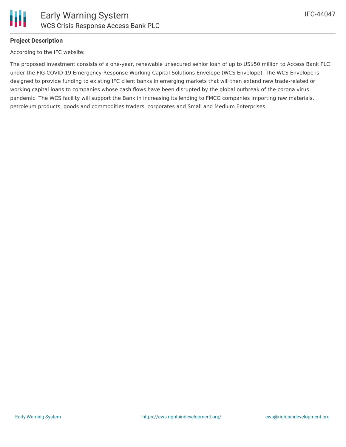

### **Project Description**

According to the IFC website:

The proposed investment consists of a one-year, renewable unsecured senior loan of up to US\$50 million to Access Bank PLC under the FIG COVID-19 Emergency Response Working Capital Solutions Envelope (WCS Envelope). The WCS Envelope is designed to provide funding to existing IFC client banks in emerging markets that will then extend new trade-related or working capital loans to companies whose cash flows have been disrupted by the global outbreak of the corona virus pandemic. The WCS facility will support the Bank in increasing its lending to FMCG companies importing raw materials, petroleum products, goods and commodities traders, corporates and Small and Medium Enterprises.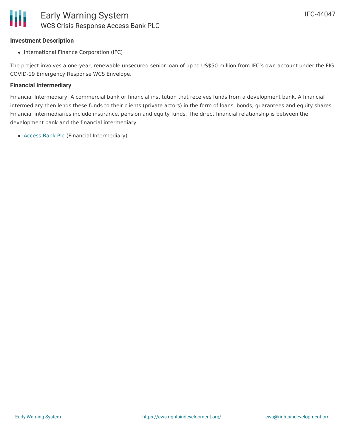## **Investment Description**

• International Finance Corporation (IFC)

The project involves a one-year, renewable unsecured senior loan of up to US\$50 million from IFC's own account under the FIG COVID-19 Emergency Response WCS Envelope.

## **Financial Intermediary**

Financial Intermediary: A commercial bank or financial institution that receives funds from a development bank. A financial intermediary then lends these funds to their clients (private actors) in the form of loans, bonds, guarantees and equity shares. Financial intermediaries include insurance, pension and equity funds. The direct financial relationship is between the development bank and the financial intermediary.

[Access](file:///actor/2020/) Bank Plc (Financial Intermediary)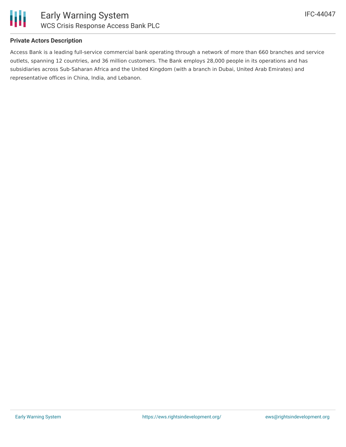

#### **Private Actors Description**

Access Bank is a leading full-service commercial bank operating through a network of more than 660 branches and service outlets, spanning 12 countries, and 36 million customers. The Bank employs 28,000 people in its operations and has subsidiaries across Sub-Saharan Africa and the United Kingdom (with a branch in Dubai, United Arab Emirates) and representative offices in China, India, and Lebanon.